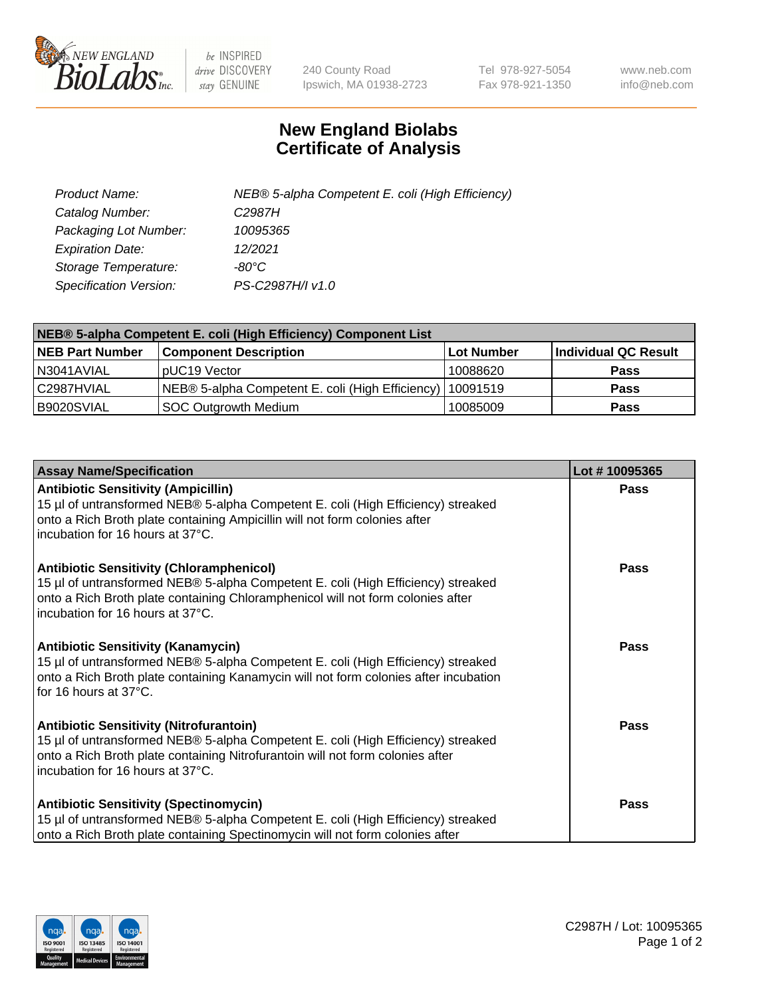

 $be$  INSPIRED drive DISCOVERY stay GENUINE

240 County Road Ipswich, MA 01938-2723 Tel 978-927-5054 Fax 978-921-1350 www.neb.com info@neb.com

## **New England Biolabs Certificate of Analysis**

| Product Name:           | NEB® 5-alpha Competent E. coli (High Efficiency) |
|-------------------------|--------------------------------------------------|
| Catalog Number:         | C <sub>2987</sub> H                              |
| Packaging Lot Number:   | 10095365                                         |
| <b>Expiration Date:</b> | 12/2021                                          |
| Storage Temperature:    | -80°C                                            |
| Specification Version:  | PS-C2987H/I v1.0                                 |

| NEB® 5-alpha Competent E. coli (High Efficiency) Component List |                                                             |            |                      |  |
|-----------------------------------------------------------------|-------------------------------------------------------------|------------|----------------------|--|
| <b>NEB Part Number</b>                                          | <b>Component Description</b>                                | Lot Number | Individual QC Result |  |
| N3041AVIAL                                                      | pUC19 Vector                                                | 10088620   | <b>Pass</b>          |  |
| C2987HVIAL                                                      | NEB® 5-alpha Competent E. coli (High Efficiency)   10091519 |            | <b>Pass</b>          |  |
| B9020SVIAL                                                      | <b>SOC Outgrowth Medium</b>                                 | 10085009   | <b>Pass</b>          |  |

| <b>Assay Name/Specification</b>                                                                                                                                                                                                                            | Lot #10095365 |
|------------------------------------------------------------------------------------------------------------------------------------------------------------------------------------------------------------------------------------------------------------|---------------|
| <b>Antibiotic Sensitivity (Ampicillin)</b><br>15 µl of untransformed NEB® 5-alpha Competent E. coli (High Efficiency) streaked<br>onto a Rich Broth plate containing Ampicillin will not form colonies after<br>incubation for 16 hours at 37°C.           | <b>Pass</b>   |
| <b>Antibiotic Sensitivity (Chloramphenicol)</b><br>15 µl of untransformed NEB® 5-alpha Competent E. coli (High Efficiency) streaked<br>onto a Rich Broth plate containing Chloramphenicol will not form colonies after<br>incubation for 16 hours at 37°C. | Pass          |
| Antibiotic Sensitivity (Kanamycin)<br>15 µl of untransformed NEB® 5-alpha Competent E. coli (High Efficiency) streaked<br>onto a Rich Broth plate containing Kanamycin will not form colonies after incubation<br>for 16 hours at 37°C.                    | Pass          |
| <b>Antibiotic Sensitivity (Nitrofurantoin)</b><br>15 µl of untransformed NEB® 5-alpha Competent E. coli (High Efficiency) streaked<br>onto a Rich Broth plate containing Nitrofurantoin will not form colonies after<br>incubation for 16 hours at 37°C.   | <b>Pass</b>   |
| <b>Antibiotic Sensitivity (Spectinomycin)</b><br>15 µl of untransformed NEB® 5-alpha Competent E. coli (High Efficiency) streaked<br>onto a Rich Broth plate containing Spectinomycin will not form colonies after                                         | Pass          |